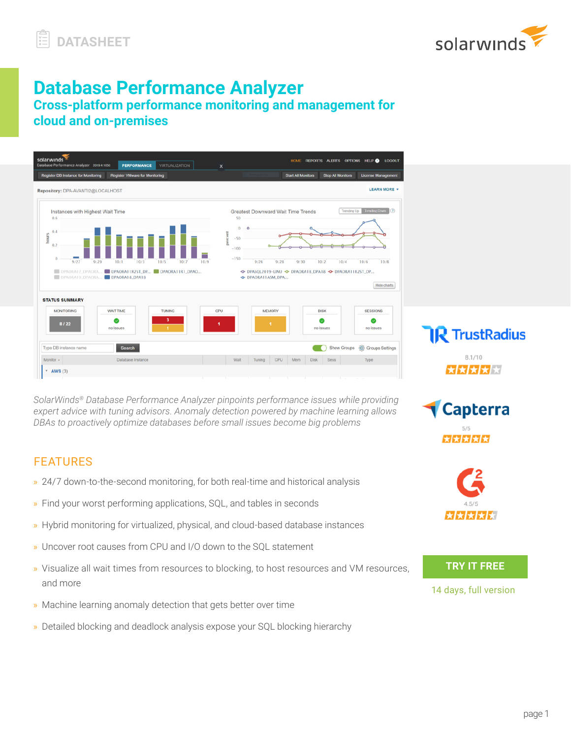

# **Database Performance Analyzer**

**Cross-platform performance monitoring and management for cloud and on-premises**

| solarwinds<br>Database Performance Analyzer 2019.4.1050<br><b>PERFORMANCE</b><br><b>VIRTUALIZATION</b><br><b>Register DB Instance for Monitoring</b><br><b>Register VMware for Monitoring</b>                                           | HOME REPORTS ALERTS OPTIONS HELP LOGOUT<br>$\times$<br><b>Stop All Monitors</b><br><b>License Management</b><br><b>Start All Monitors</b>                                                                                                                                                                                   |
|-----------------------------------------------------------------------------------------------------------------------------------------------------------------------------------------------------------------------------------------|-----------------------------------------------------------------------------------------------------------------------------------------------------------------------------------------------------------------------------------------------------------------------------------------------------------------------------|
| Repository: DPA-AVANTI2@LOCALHOST                                                                                                                                                                                                       | <b>LEARN MORE +</b>                                                                                                                                                                                                                                                                                                         |
| Instances with Highest Wait Time<br>0.6<br>0.4<br>hours<br>0.2<br>$\circ$<br>9/29<br>10/1<br>10/3<br>10/5<br>10/7<br>9/27<br>DPAORA12_DPAORA DRAORA11R2ST_DP DRAORA11R1_DPAO<br>DPAORA10_DPAORA DPAORA18_DPA18<br><b>STATUS SUMMARY</b> | Trending Down<br><b>Trending Up</b><br><b>Greatest Downward Wait Time Trends</b><br>50<br>$^{\circ}$<br>$\circ$<br>percent<br>$-50$<br>$-100$<br>$-150$<br>10/6<br>10/8<br>9/26<br>9/28<br>9/30<br>10/2<br>10/4<br>10/9<br>-O- DPASQL2019-LINU -O- DPAORA18_DPA18 -O- DPAORA11R2ST_DP<br>-O- DPAORATTASM_DPA<br>Hide charts |
| <b>WAIT TIME</b><br><b>MONITORING</b><br><b>TUNING</b><br>3<br>$\checkmark$<br>8/22<br>no issues                                                                                                                                        | CPU<br><b>MEMORY</b><br><b>DISK</b><br><b>SESSIONS</b><br>$\bullet$<br>c<br>и.<br>и.<br>no issues<br>no issues<br><b>IR</b> TrustRadius                                                                                                                                                                                     |
| Type DB instance name<br>Search<br>Monitor +<br>Database Instance                                                                                                                                                                       | Show Groups <sup>5</sup> Groups Settings<br>8.1/10<br><b>Disk</b><br>Wait<br>Tuning<br>CPU<br>Mem<br>Sess<br>Type                                                                                                                                                                                                           |
| <b>AWS (3)</b><br>$\mathbf{v}$                                                                                                                                                                                                          | ★★★★★                                                                                                                                                                                                                                                                                                                       |

*SolarWinds® Database Performance Analyzer pinpoints performance issues while providing expert advice with tuning advisors. Anomaly detection powered by machine learning allows DBAs to proactively optimize databases before small issues become big problems*

# FEATURES

- » 24/7 down-to-the-second monitoring, for both real-time and historical analysis
- » Find your worst performing applications, SQL, and tables in seconds
- » Hybrid monitoring for virtualized, physical, and cloud-based database instances
- » Uncover root causes from CPU and I/O down to the SQL statement
- » Visualize all wait times from resources to blocking, to host resources and VM resources, and more
- » Machine learning anomaly detection that gets better over time
- » Detailed blocking and deadlock analysis expose your SQL blocking hierarchy



★★★★★★

**Capterra** 

**TRY IT FREE**

[14 days, full version](https://www.solarwinds.com/log-manager-for-orion-software/registration?CMP=LEC-OTA-SWI-SW_WW_X_PP_X_LD_EN_LAZLCH_SW-LAZ-20190200_OF1_X_X_VidNo-Datasheet)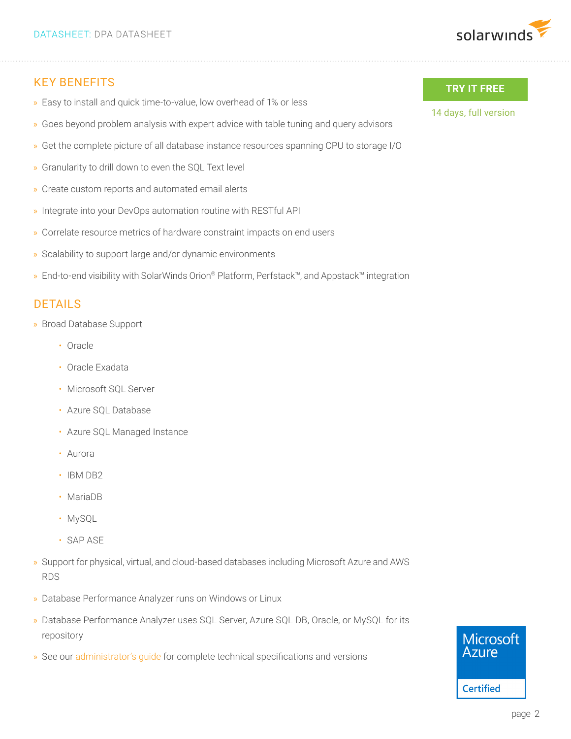

### KEY BENEFITS

- » Easy to install and quick time-to-value, low overhead of 1% or less
- » Goes beyond problem analysis with expert advice with table tuning and query advisors
- » Get the complete picture of all database instance resources spanning CPU to storage I/O
- » Granularity to drill down to even the SQL Text level
- » Create custom reports and automated email alerts
- » Integrate into your DevOps automation routine with RESTful API
- » Correlate resource metrics of hardware constraint impacts on end users
- » Scalability to support large and/or dynamic environments
- » End-to-end visibility with SolarWinds Orion® Platform, Perfstack™, and Appstack™ integration

# DETAILS

- » Broad Database Support
	- Oracle
	- Oracle Exadata
	- Microsoft SQL Server
	- Azure SQL Database
	- Azure SQL Managed Instance
	- Aurora
	- IBM DB2
	- MariaDB
	- MySQL
	- SAP ASE
- » Support for physical, virtual, and cloud-based databases including Microsoft Azure and AWS RDS
- » Database Performance Analyzer runs on Windows or Linux
- » Database Performance Analyzer uses SQL Server, Azure SQL DB, Oracle, or MySQL for its repository
- » See our [administrator's guide](https://documentation.solarwinds.com/en/success_center/dpa/Content/DPA_Administrator_Guide.htm) for complete technical specifications and versions

#### **TRY IT FREE**

[14 days, full version](https://www.solarwinds.com/log-manager-for-orion-software/registration?CMP=LEC-OTA-SWI-SW_WW_X_PP_X_LD_EN_LAZLCH_SW-LAZ-20190200_OF1_X_X_VidNo-Datasheet)